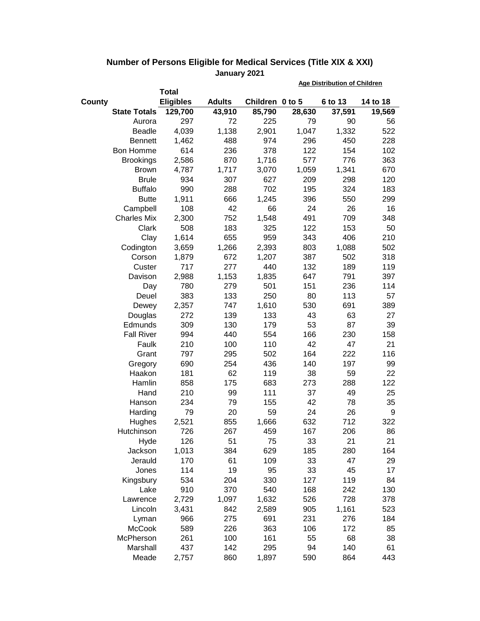|                     |                  |               |                 | <b>Age Distribution of Children</b> |         |          |  |
|---------------------|------------------|---------------|-----------------|-------------------------------------|---------|----------|--|
|                     | <b>Total</b>     |               |                 |                                     |         |          |  |
| County              | <b>Eligibles</b> | <b>Adults</b> | Children 0 to 5 |                                     | 6 to 13 | 14 to 18 |  |
| <b>State Totals</b> | 129,700          | 43,910        | 85,790          | 28,630                              | 37,591  | 19,569   |  |
| Aurora              | 297              | 72            | 225             | 79                                  | 90      | 56       |  |
| <b>Beadle</b>       | 4,039            | 1,138         | 2,901           | 1,047                               | 1,332   | 522      |  |
| <b>Bennett</b>      | 1,462            | 488           | 974             | 296                                 | 450     | 228      |  |
| Bon Homme           | 614              | 236           | 378             | 122                                 | 154     | 102      |  |
| <b>Brookings</b>    | 2,586            | 870           | 1,716           | 577                                 | 776     | 363      |  |
| <b>Brown</b>        | 4,787            | 1,717         | 3,070           | 1,059                               | 1,341   | 670      |  |
| <b>Brule</b>        | 934              | 307           | 627             | 209                                 | 298     | 120      |  |
| <b>Buffalo</b>      | 990              | 288           | 702             | 195                                 | 324     | 183      |  |
| <b>Butte</b>        | 1,911            | 666           | 1,245           | 396                                 | 550     | 299      |  |
| Campbell            | 108              | 42            | 66              | 24                                  | 26      | 16       |  |
| <b>Charles Mix</b>  | 2,300            | 752           | 1,548           | 491                                 | 709     | 348      |  |
| Clark               | 508              | 183           | 325             | 122                                 | 153     | 50       |  |
| Clay                | 1,614            | 655           | 959             | 343                                 | 406     | 210      |  |
| Codington           | 3,659            | 1,266         | 2,393           | 803                                 | 1,088   | 502      |  |
| Corson              | 1,879            | 672           | 1,207           | 387                                 | 502     | 318      |  |
| Custer              | 717              | 277           | 440             | 132                                 | 189     | 119      |  |
| Davison             | 2,988            | 1,153         | 1,835           | 647                                 | 791     | 397      |  |
| Day                 | 780              | 279           | 501             | 151                                 | 236     | 114      |  |
| Deuel               | 383              | 133           | 250             | 80                                  | 113     | 57       |  |
| Dewey               | 2,357            | 747           | 1,610           | 530                                 | 691     | 389      |  |
| Douglas             | 272              | 139           | 133             | 43                                  | 63      | 27       |  |
| Edmunds             | 309              | 130           | 179             | 53                                  | 87      | 39       |  |
| <b>Fall River</b>   | 994              | 440           | 554             | 166                                 | 230     | 158      |  |
| Faulk               | 210              | 100           | 110             | 42                                  | 47      | 21       |  |
| Grant               | 797              | 295           | 502             | 164                                 | 222     | 116      |  |
| Gregory             | 690              | 254           | 436             | 140                                 | 197     | 99       |  |
| Haakon              | 181              | 62            | 119             | 38                                  | 59      | 22       |  |
| Hamlin              | 858              | 175           | 683             | 273                                 | 288     | 122      |  |
| Hand                | 210              | 99            | 111             | 37                                  | 49      | 25       |  |
| Hanson              | 234              | 79            | 155             | 42                                  | 78      | 35       |  |
| Harding             | 79               | 20            | 59              | 24                                  | 26      | 9        |  |
| Hughes              | 2,521            | 855           | 1,666           | 632                                 | 712     | 322      |  |
| Hutchinson          | 726              | 267           | 459             | 167                                 | 206     | 86       |  |
| Hyde                | 126              | 51            | 75              | 33                                  | 21      | 21       |  |
| Jackson             | 1,013            | 384           | 629             | 185                                 | 280     | 164      |  |
| Jerauld             | 170              | 61            | 109             | 33                                  | 47      | 29       |  |
| Jones               | 114              | 19            | 95              | 33                                  | 45      | 17       |  |
| Kingsbury           | 534              | 204           | 330             | 127                                 | 119     | 84       |  |
| Lake                | 910              | 370           | 540             | 168                                 | 242     | 130      |  |
| Lawrence            | 2,729            | 1,097         | 1,632           | 526                                 | 728     | 378      |  |
| Lincoln             | 3,431            | 842           | 2,589           | 905                                 | 1,161   | 523      |  |
| Lyman               | 966              | 275           | 691             | 231                                 | 276     | 184      |  |
| <b>McCook</b>       | 589              | 226           | 363             | 106                                 | 172     | 85       |  |
| McPherson           | 261              | 100           | 161             | 55                                  | 68      | 38       |  |
| Marshall            | 437              | 142           | 295             | 94                                  | 140     | 61       |  |
| Meade               | 2,757            | 860           | 1,897           | 590                                 | 864     | 443      |  |

## **Number of Persons Eligible for Medical Services (Title XIX & XXI) January 2021**